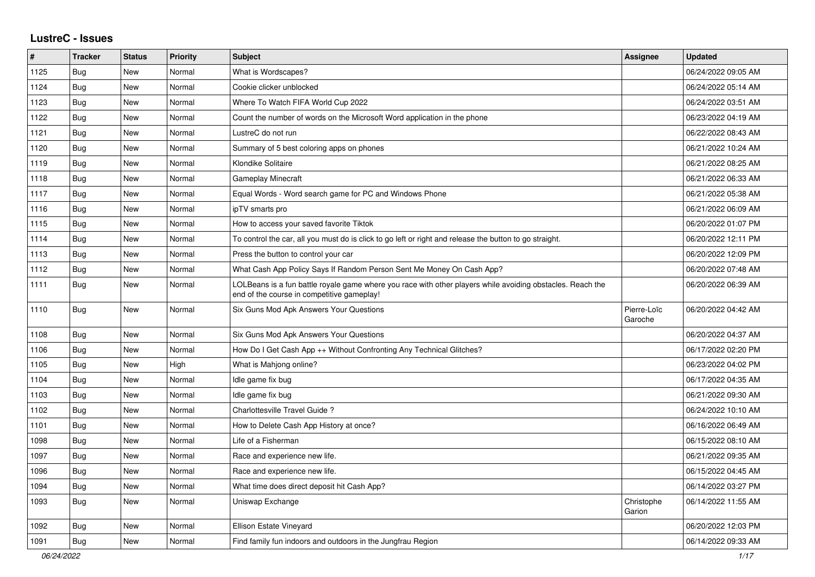## **LustreC - Issues**

| #    | <b>Tracker</b> | <b>Status</b> | <b>Priority</b> | <b>Subject</b>                                                                                                                                           | <b>Assignee</b>        | <b>Updated</b>      |
|------|----------------|---------------|-----------------|----------------------------------------------------------------------------------------------------------------------------------------------------------|------------------------|---------------------|
| 1125 | Bug            | New           | Normal          | What is Wordscapes?                                                                                                                                      |                        | 06/24/2022 09:05 AM |
| 1124 | <b>Bug</b>     | <b>New</b>    | Normal          | Cookie clicker unblocked                                                                                                                                 |                        | 06/24/2022 05:14 AM |
| 1123 | <b>Bug</b>     | <b>New</b>    | Normal          | Where To Watch FIFA World Cup 2022                                                                                                                       |                        | 06/24/2022 03:51 AM |
| 1122 | Bug            | New           | Normal          | Count the number of words on the Microsoft Word application in the phone                                                                                 |                        | 06/23/2022 04:19 AM |
| 1121 | <b>Bug</b>     | <b>New</b>    | Normal          | LustreC do not run                                                                                                                                       |                        | 06/22/2022 08:43 AM |
| 1120 | Bug            | New           | Normal          | Summary of 5 best coloring apps on phones                                                                                                                |                        | 06/21/2022 10:24 AM |
| 1119 | Bug            | <b>New</b>    | Normal          | Klondike Solitaire                                                                                                                                       |                        | 06/21/2022 08:25 AM |
| 1118 | Bug            | New           | Normal          | <b>Gameplay Minecraft</b>                                                                                                                                |                        | 06/21/2022 06:33 AM |
| 1117 | <b>Bug</b>     | New           | Normal          | Equal Words - Word search game for PC and Windows Phone                                                                                                  |                        | 06/21/2022 05:38 AM |
| 1116 | <b>Bug</b>     | New           | Normal          | ipTV smarts pro                                                                                                                                          |                        | 06/21/2022 06:09 AM |
| 1115 | Bug            | New           | Normal          | How to access your saved favorite Tiktok                                                                                                                 |                        | 06/20/2022 01:07 PM |
| 1114 | <b>Bug</b>     | <b>New</b>    | Normal          | To control the car, all you must do is click to go left or right and release the button to go straight.                                                  |                        | 06/20/2022 12:11 PM |
| 1113 | <b>Bug</b>     | <b>New</b>    | Normal          | Press the button to control your car                                                                                                                     |                        | 06/20/2022 12:09 PM |
| 1112 | <b>Bug</b>     | <b>New</b>    | Normal          | What Cash App Policy Says If Random Person Sent Me Money On Cash App?                                                                                    |                        | 06/20/2022 07:48 AM |
| 1111 | Bug            | New           | Normal          | LOLBeans is a fun battle royale game where you race with other players while avoiding obstacles. Reach the<br>end of the course in competitive gameplay! |                        | 06/20/2022 06:39 AM |
| 1110 | Bug            | New           | Normal          | Six Guns Mod Apk Answers Your Questions                                                                                                                  | Pierre-Loïc<br>Garoche | 06/20/2022 04:42 AM |
| 1108 | Bug            | <b>New</b>    | Normal          | Six Guns Mod Apk Answers Your Questions                                                                                                                  |                        | 06/20/2022 04:37 AM |
| 1106 | Bug            | <b>New</b>    | Normal          | How Do I Get Cash App ++ Without Confronting Any Technical Glitches?                                                                                     |                        | 06/17/2022 02:20 PM |
| 1105 | <b>Bug</b>     | <b>New</b>    | High            | What is Mahjong online?                                                                                                                                  |                        | 06/23/2022 04:02 PM |
| 1104 | Bug            | New           | Normal          | Idle game fix bug                                                                                                                                        |                        | 06/17/2022 04:35 AM |
| 1103 | <b>Bug</b>     | <b>New</b>    | Normal          | Idle game fix bug                                                                                                                                        |                        | 06/21/2022 09:30 AM |
| 1102 | <b>Bug</b>     | New           | Normal          | Charlottesville Travel Guide ?                                                                                                                           |                        | 06/24/2022 10:10 AM |
| 1101 | Bug            | New           | Normal          | How to Delete Cash App History at once?                                                                                                                  |                        | 06/16/2022 06:49 AM |
| 1098 | <b>Bug</b>     | New           | Normal          | Life of a Fisherman                                                                                                                                      |                        | 06/15/2022 08:10 AM |
| 1097 | <b>Bug</b>     | New           | Normal          | Race and experience new life.                                                                                                                            |                        | 06/21/2022 09:35 AM |
| 1096 | Bug            | <b>New</b>    | Normal          | Race and experience new life.                                                                                                                            |                        | 06/15/2022 04:45 AM |
| 1094 | <b>Bug</b>     | New           | Normal          | What time does direct deposit hit Cash App?                                                                                                              |                        | 06/14/2022 03:27 PM |
| 1093 | Bug            | <b>New</b>    | Normal          | Uniswap Exchange                                                                                                                                         | Christophe<br>Garion   | 06/14/2022 11:55 AM |
| 1092 | <b>Bug</b>     | New           | Normal          | Ellison Estate Vineyard                                                                                                                                  |                        | 06/20/2022 12:03 PM |
| 1091 | <b>Bug</b>     | <b>New</b>    | Normal          | Find family fun indoors and outdoors in the Jungfrau Region                                                                                              |                        | 06/14/2022 09:33 AM |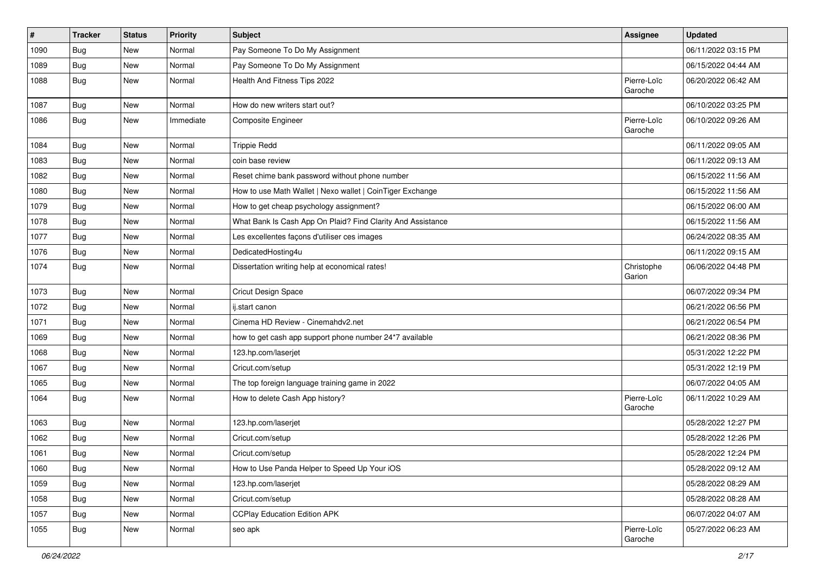| $\pmb{\#}$ | <b>Tracker</b> | <b>Status</b> | Priority  | <b>Subject</b>                                              | Assignee               | <b>Updated</b>      |
|------------|----------------|---------------|-----------|-------------------------------------------------------------|------------------------|---------------------|
| 1090       | <b>Bug</b>     | New           | Normal    | Pay Someone To Do My Assignment                             |                        | 06/11/2022 03:15 PM |
| 1089       | Bug            | New           | Normal    | Pay Someone To Do My Assignment                             |                        | 06/15/2022 04:44 AM |
| 1088       | <b>Bug</b>     | New           | Normal    | Health And Fitness Tips 2022                                | Pierre-Loïc<br>Garoche | 06/20/2022 06:42 AM |
| 1087       | Bug            | New           | Normal    | How do new writers start out?                               |                        | 06/10/2022 03:25 PM |
| 1086       | <b>Bug</b>     | New           | Immediate | Composite Engineer                                          | Pierre-Loïc<br>Garoche | 06/10/2022 09:26 AM |
| 1084       | Bug            | New           | Normal    | <b>Trippie Redd</b>                                         |                        | 06/11/2022 09:05 AM |
| 1083       | Bug            | New           | Normal    | coin base review                                            |                        | 06/11/2022 09:13 AM |
| 1082       | Bug            | New           | Normal    | Reset chime bank password without phone number              |                        | 06/15/2022 11:56 AM |
| 1080       | <b>Bug</b>     | New           | Normal    | How to use Math Wallet   Nexo wallet   CoinTiger Exchange   |                        | 06/15/2022 11:56 AM |
| 1079       | <b>Bug</b>     | New           | Normal    | How to get cheap psychology assignment?                     |                        | 06/15/2022 06:00 AM |
| 1078       | Bug            | New           | Normal    | What Bank Is Cash App On Plaid? Find Clarity And Assistance |                        | 06/15/2022 11:56 AM |
| 1077       | <b>Bug</b>     | New           | Normal    | Les excellentes façons d'utiliser ces images                |                        | 06/24/2022 08:35 AM |
| 1076       | <b>Bug</b>     | New           | Normal    | DedicatedHosting4u                                          |                        | 06/11/2022 09:15 AM |
| 1074       | Bug            | New           | Normal    | Dissertation writing help at economical rates!              | Christophe<br>Garion   | 06/06/2022 04:48 PM |
| 1073       | <b>Bug</b>     | New           | Normal    | Cricut Design Space                                         |                        | 06/07/2022 09:34 PM |
| 1072       | <b>Bug</b>     | New           | Normal    | ij.start canon                                              |                        | 06/21/2022 06:56 PM |
| 1071       | <b>Bug</b>     | New           | Normal    | Cinema HD Review - Cinemahdv2.net                           |                        | 06/21/2022 06:54 PM |
| 1069       | Bug            | New           | Normal    | how to get cash app support phone number 24*7 available     |                        | 06/21/2022 08:36 PM |
| 1068       | <b>Bug</b>     | New           | Normal    | 123.hp.com/laserjet                                         |                        | 05/31/2022 12:22 PM |
| 1067       | <b>Bug</b>     | New           | Normal    | Cricut.com/setup                                            |                        | 05/31/2022 12:19 PM |
| 1065       | Bug            | New           | Normal    | The top foreign language training game in 2022              |                        | 06/07/2022 04:05 AM |
| 1064       | <b>Bug</b>     | New           | Normal    | How to delete Cash App history?                             | Pierre-Loïc<br>Garoche | 06/11/2022 10:29 AM |
| 1063       | <b>Bug</b>     | New           | Normal    | 123.hp.com/laserjet                                         |                        | 05/28/2022 12:27 PM |
| 1062       | Bug            | New           | Normal    | Cricut.com/setup                                            |                        | 05/28/2022 12:26 PM |
| 1061       | <b>Bug</b>     | New           | Normal    | Cricut.com/setup                                            |                        | 05/28/2022 12:24 PM |
| 1060       | <b>Bug</b>     | New           | Normal    | How to Use Panda Helper to Speed Up Your iOS                |                        | 05/28/2022 09:12 AM |
| 1059       | Bug            | New           | Normal    | 123.hp.com/laserjet                                         |                        | 05/28/2022 08:29 AM |
| 1058       | <b>Bug</b>     | New           | Normal    | Cricut.com/setup                                            |                        | 05/28/2022 08:28 AM |
| 1057       | Bug            | New           | Normal    | <b>CCPlay Education Edition APK</b>                         |                        | 06/07/2022 04:07 AM |
| 1055       | <b>Bug</b>     | New           | Normal    | seo apk                                                     | Pierre-Loïc<br>Garoche | 05/27/2022 06:23 AM |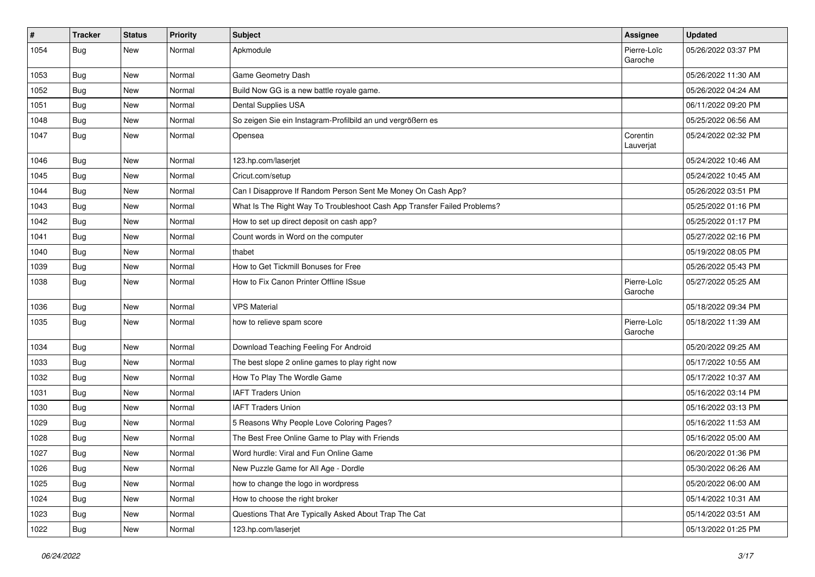| $\sharp$ | Tracker    | <b>Status</b> | <b>Priority</b> | <b>Subject</b>                                                           | Assignee               | <b>Updated</b>      |
|----------|------------|---------------|-----------------|--------------------------------------------------------------------------|------------------------|---------------------|
| 1054     | <b>Bug</b> | New           | Normal          | Apkmodule                                                                | Pierre-Loïc<br>Garoche | 05/26/2022 03:37 PM |
| 1053     | Bug        | New           | Normal          | Game Geometry Dash                                                       |                        | 05/26/2022 11:30 AM |
| 1052     | Bug        | <b>New</b>    | Normal          | Build Now GG is a new battle royale game.                                |                        | 05/26/2022 04:24 AM |
| 1051     | Bug        | <b>New</b>    | Normal          | Dental Supplies USA                                                      |                        | 06/11/2022 09:20 PM |
| 1048     | Bug        | <b>New</b>    | Normal          | So zeigen Sie ein Instagram-Profilbild an und vergrößern es              |                        | 05/25/2022 06:56 AM |
| 1047     | Bug        | New           | Normal          | Opensea                                                                  | Corentin<br>Lauverjat  | 05/24/2022 02:32 PM |
| 1046     | Bug        | <b>New</b>    | Normal          | 123.hp.com/laserjet                                                      |                        | 05/24/2022 10:46 AM |
| 1045     | Bug        | <b>New</b>    | Normal          | Cricut.com/setup                                                         |                        | 05/24/2022 10:45 AM |
| 1044     | Bug        | New           | Normal          | Can I Disapprove If Random Person Sent Me Money On Cash App?             |                        | 05/26/2022 03:51 PM |
| 1043     | Bug        | New           | Normal          | What Is The Right Way To Troubleshoot Cash App Transfer Failed Problems? |                        | 05/25/2022 01:16 PM |
| 1042     | <b>Bug</b> | <b>New</b>    | Normal          | How to set up direct deposit on cash app?                                |                        | 05/25/2022 01:17 PM |
| 1041     | <b>Bug</b> | New           | Normal          | Count words in Word on the computer                                      |                        | 05/27/2022 02:16 PM |
| 1040     | Bug        | <b>New</b>    | Normal          | thabet                                                                   |                        | 05/19/2022 08:05 PM |
| 1039     | Bug        | New           | Normal          | How to Get Tickmill Bonuses for Free                                     |                        | 05/26/2022 05:43 PM |
| 1038     | Bug        | New           | Normal          | How to Fix Canon Printer Offline ISsue                                   | Pierre-Loïc<br>Garoche | 05/27/2022 05:25 AM |
| 1036     | Bug        | New           | Normal          | <b>VPS Material</b>                                                      |                        | 05/18/2022 09:34 PM |
| 1035     | Bug        | New           | Normal          | how to relieve spam score                                                | Pierre-Loïc<br>Garoche | 05/18/2022 11:39 AM |
| 1034     | Bug        | <b>New</b>    | Normal          | Download Teaching Feeling For Android                                    |                        | 05/20/2022 09:25 AM |
| 1033     | Bug        | <b>New</b>    | Normal          | The best slope 2 online games to play right now                          |                        | 05/17/2022 10:55 AM |
| 1032     | Bug        | New           | Normal          | How To Play The Wordle Game                                              |                        | 05/17/2022 10:37 AM |
| 1031     | Bug        | <b>New</b>    | Normal          | <b>IAFT Traders Union</b>                                                |                        | 05/16/2022 03:14 PM |
| 1030     | Bug        | <b>New</b>    | Normal          | <b>IAFT Traders Union</b>                                                |                        | 05/16/2022 03:13 PM |
| 1029     | Bug        | <b>New</b>    | Normal          | 5 Reasons Why People Love Coloring Pages?                                |                        | 05/16/2022 11:53 AM |
| 1028     | <b>Bug</b> | New           | Normal          | The Best Free Online Game to Play with Friends                           |                        | 05/16/2022 05:00 AM |
| 1027     | Bug        | <b>New</b>    | Normal          | Word hurdle: Viral and Fun Online Game                                   |                        | 06/20/2022 01:36 PM |
| 1026     | <b>Bug</b> | New           | Normal          | New Puzzle Game for All Age - Dordle                                     |                        | 05/30/2022 06:26 AM |
| 1025     | <b>Bug</b> | New           | Normal          | how to change the logo in wordpress                                      |                        | 05/20/2022 06:00 AM |
| 1024     | <b>Bug</b> | New           | Normal          | How to choose the right broker                                           |                        | 05/14/2022 10:31 AM |
| 1023     | Bug        | New           | Normal          | Questions That Are Typically Asked About Trap The Cat                    |                        | 05/14/2022 03:51 AM |
| 1022     | <b>Bug</b> | New           | Normal          | 123.hp.com/laserjet                                                      |                        | 05/13/2022 01:25 PM |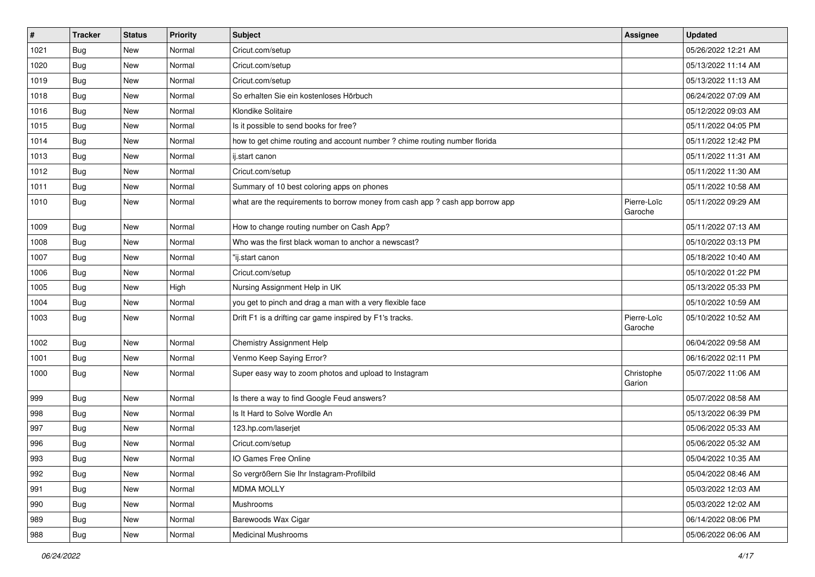| $\vert$ # | <b>Tracker</b> | <b>Status</b> | <b>Priority</b> | <b>Subject</b>                                                                | <b>Assignee</b>        | <b>Updated</b>      |
|-----------|----------------|---------------|-----------------|-------------------------------------------------------------------------------|------------------------|---------------------|
| 1021      | Bug            | New           | Normal          | Cricut.com/setup                                                              |                        | 05/26/2022 12:21 AM |
| 1020      | <b>Bug</b>     | <b>New</b>    | Normal          | Cricut.com/setup                                                              |                        | 05/13/2022 11:14 AM |
| 1019      | Bug            | New           | Normal          | Cricut.com/setup                                                              |                        | 05/13/2022 11:13 AM |
| 1018      | <b>Bug</b>     | New           | Normal          | So erhalten Sie ein kostenloses Hörbuch                                       |                        | 06/24/2022 07:09 AM |
| 1016      | Bug            | New           | Normal          | Klondike Solitaire                                                            |                        | 05/12/2022 09:03 AM |
| 1015      | Bug            | New           | Normal          | Is it possible to send books for free?                                        |                        | 05/11/2022 04:05 PM |
| 1014      | Bug            | New           | Normal          | how to get chime routing and account number ? chime routing number florida    |                        | 05/11/2022 12:42 PM |
| 1013      | Bug            | New           | Normal          | ij.start canon                                                                |                        | 05/11/2022 11:31 AM |
| 1012      | Bug            | New           | Normal          | Cricut.com/setup                                                              |                        | 05/11/2022 11:30 AM |
| 1011      | Bug            | New           | Normal          | Summary of 10 best coloring apps on phones                                    |                        | 05/11/2022 10:58 AM |
| 1010      | Bug            | New           | Normal          | what are the requirements to borrow money from cash app ? cash app borrow app | Pierre-Loïc<br>Garoche | 05/11/2022 09:29 AM |
| 1009      | Bug            | New           | Normal          | How to change routing number on Cash App?                                     |                        | 05/11/2022 07:13 AM |
| 1008      | Bug            | New           | Normal          | Who was the first black woman to anchor a newscast?                           |                        | 05/10/2022 03:13 PM |
| 1007      | Bug            | New           | Normal          | "ij.start canon                                                               |                        | 05/18/2022 10:40 AM |
| 1006      | <b>Bug</b>     | New           | Normal          | Cricut.com/setup                                                              |                        | 05/10/2022 01:22 PM |
| 1005      | Bug            | New           | High            | Nursing Assignment Help in UK                                                 |                        | 05/13/2022 05:33 PM |
| 1004      | Bug            | New           | Normal          | you get to pinch and drag a man with a very flexible face                     |                        | 05/10/2022 10:59 AM |
| 1003      | Bug            | New           | Normal          | Drift F1 is a drifting car game inspired by F1's tracks.                      | Pierre-Loïc<br>Garoche | 05/10/2022 10:52 AM |
| 1002      | <b>Bug</b>     | New           | Normal          | <b>Chemistry Assignment Help</b>                                              |                        | 06/04/2022 09:58 AM |
| 1001      | Bug            | New           | Normal          | Venmo Keep Saying Error?                                                      |                        | 06/16/2022 02:11 PM |
| 1000      | <b>Bug</b>     | New           | Normal          | Super easy way to zoom photos and upload to Instagram                         | Christophe<br>Garion   | 05/07/2022 11:06 AM |
| 999       | Bug            | New           | Normal          | Is there a way to find Google Feud answers?                                   |                        | 05/07/2022 08:58 AM |
| 998       | Bug            | New           | Normal          | Is It Hard to Solve Wordle An                                                 |                        | 05/13/2022 06:39 PM |
| 997       | Bug            | New           | Normal          | 123.hp.com/laserjet                                                           |                        | 05/06/2022 05:33 AM |
| 996       | Bug            | New           | Normal          | Cricut.com/setup                                                              |                        | 05/06/2022 05:32 AM |
| 993       | Bug            | New           | Normal          | IO Games Free Online                                                          |                        | 05/04/2022 10:35 AM |
| 992       | Bug            | New           | Normal          | So vergrößern Sie Ihr Instagram-Profilbild                                    |                        | 05/04/2022 08:46 AM |
| 991       | Bug            | New           | Normal          | <b>MDMA MOLLY</b>                                                             |                        | 05/03/2022 12:03 AM |
| 990       | <b>Bug</b>     | New           | Normal          | Mushrooms                                                                     |                        | 05/03/2022 12:02 AM |
| 989       | Bug            | New           | Normal          | Barewoods Wax Cigar                                                           |                        | 06/14/2022 08:06 PM |
| 988       | <b>Bug</b>     | New           | Normal          | <b>Medicinal Mushrooms</b>                                                    |                        | 05/06/2022 06:06 AM |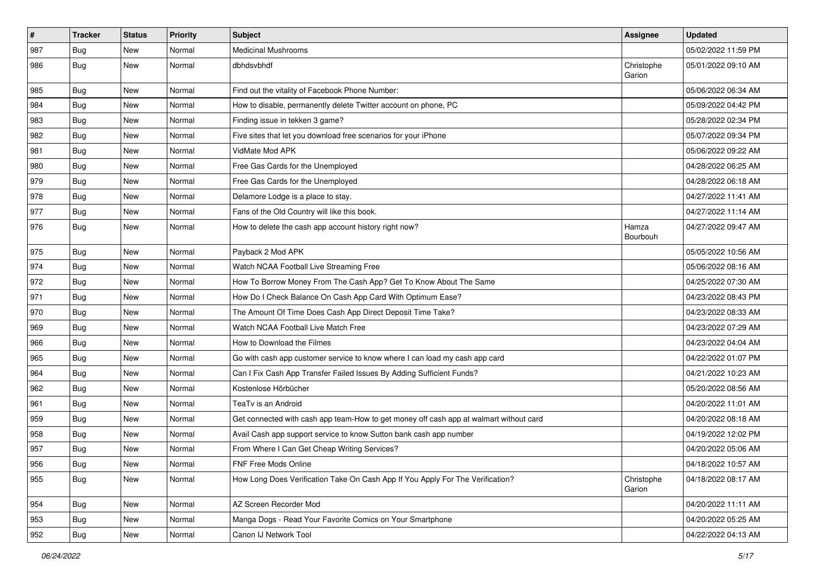| $\sharp$ | <b>Tracker</b> | <b>Status</b> | <b>Priority</b> | <b>Subject</b>                                                                         | Assignee             | <b>Updated</b>      |
|----------|----------------|---------------|-----------------|----------------------------------------------------------------------------------------|----------------------|---------------------|
| 987      | <b>Bug</b>     | New           | Normal          | <b>Medicinal Mushrooms</b>                                                             |                      | 05/02/2022 11:59 PM |
| 986      | <b>Bug</b>     | New           | Normal          | dbhdsvbhdf                                                                             | Christophe<br>Garion | 05/01/2022 09:10 AM |
| 985      | <b>Bug</b>     | New           | Normal          | Find out the vitality of Facebook Phone Number:                                        |                      | 05/06/2022 06:34 AM |
| 984      | Bug            | New           | Normal          | How to disable, permanently delete Twitter account on phone, PC                        |                      | 05/09/2022 04:42 PM |
| 983      | <b>Bug</b>     | New           | Normal          | Finding issue in tekken 3 game?                                                        |                      | 05/28/2022 02:34 PM |
| 982      | <b>Bug</b>     | New           | Normal          | Five sites that let you download free scenarios for your iPhone                        |                      | 05/07/2022 09:34 PM |
| 981      | <b>Bug</b>     | New           | Normal          | VidMate Mod APK                                                                        |                      | 05/06/2022 09:22 AM |
| 980      | <b>Bug</b>     | New           | Normal          | Free Gas Cards for the Unemployed                                                      |                      | 04/28/2022 06:25 AM |
| 979      | <b>Bug</b>     | New           | Normal          | Free Gas Cards for the Unemployed                                                      |                      | 04/28/2022 06:18 AM |
| 978      | <b>Bug</b>     | New           | Normal          | Delamore Lodge is a place to stay.                                                     |                      | 04/27/2022 11:41 AM |
| 977      | <b>Bug</b>     | New           | Normal          | Fans of the Old Country will like this book.                                           |                      | 04/27/2022 11:14 AM |
| 976      | Bug            | New           | Normal          | How to delete the cash app account history right now?                                  | Hamza<br>Bourbouh    | 04/27/2022 09:47 AM |
| 975      | <b>Bug</b>     | New           | Normal          | Payback 2 Mod APK                                                                      |                      | 05/05/2022 10:56 AM |
| 974      | Bug            | New           | Normal          | Watch NCAA Football Live Streaming Free                                                |                      | 05/06/2022 08:16 AM |
| 972      | <b>Bug</b>     | New           | Normal          | How To Borrow Money From The Cash App? Get To Know About The Same                      |                      | 04/25/2022 07:30 AM |
| 971      | <b>Bug</b>     | New           | Normal          | How Do I Check Balance On Cash App Card With Optimum Ease?                             |                      | 04/23/2022 08:43 PM |
| 970      | Bug            | New           | Normal          | The Amount Of Time Does Cash App Direct Deposit Time Take?                             |                      | 04/23/2022 08:33 AM |
| 969      | <b>Bug</b>     | New           | Normal          | Watch NCAA Football Live Match Free                                                    |                      | 04/23/2022 07:29 AM |
| 966      | <b>Bug</b>     | New           | Normal          | How to Download the Filmes                                                             |                      | 04/23/2022 04:04 AM |
| 965      | <b>Bug</b>     | New           | Normal          | Go with cash app customer service to know where I can load my cash app card            |                      | 04/22/2022 01:07 PM |
| 964      | Bug            | New           | Normal          | Can I Fix Cash App Transfer Failed Issues By Adding Sufficient Funds?                  |                      | 04/21/2022 10:23 AM |
| 962      | <b>Bug</b>     | New           | Normal          | Kostenlose Hörbücher                                                                   |                      | 05/20/2022 08:56 AM |
| 961      | <b>Bug</b>     | New           | Normal          | TeaTv is an Android                                                                    |                      | 04/20/2022 11:01 AM |
| 959      | <b>Bug</b>     | New           | Normal          | Get connected with cash app team-How to get money off cash app at walmart without card |                      | 04/20/2022 08:18 AM |
| 958      | <b>Bug</b>     | New           | Normal          | Avail Cash app support service to know Sutton bank cash app number                     |                      | 04/19/2022 12:02 PM |
| 957      | <b>Bug</b>     | New           | Normal          | From Where I Can Get Cheap Writing Services?                                           |                      | 04/20/2022 05:06 AM |
| 956      | Bug            | New           | Normal          | FNF Free Mods Online                                                                   |                      | 04/18/2022 10:57 AM |
| 955      | Bug            | New           | Normal          | How Long Does Verification Take On Cash App If You Apply For The Verification?         | Christophe<br>Garion | 04/18/2022 08:17 AM |
| 954      | Bug            | New           | Normal          | AZ Screen Recorder Mod                                                                 |                      | 04/20/2022 11:11 AM |
| 953      | Bug            | New           | Normal          | Manga Dogs - Read Your Favorite Comics on Your Smartphone                              |                      | 04/20/2022 05:25 AM |
| 952      | <b>Bug</b>     | New           | Normal          | Canon IJ Network Tool                                                                  |                      | 04/22/2022 04:13 AM |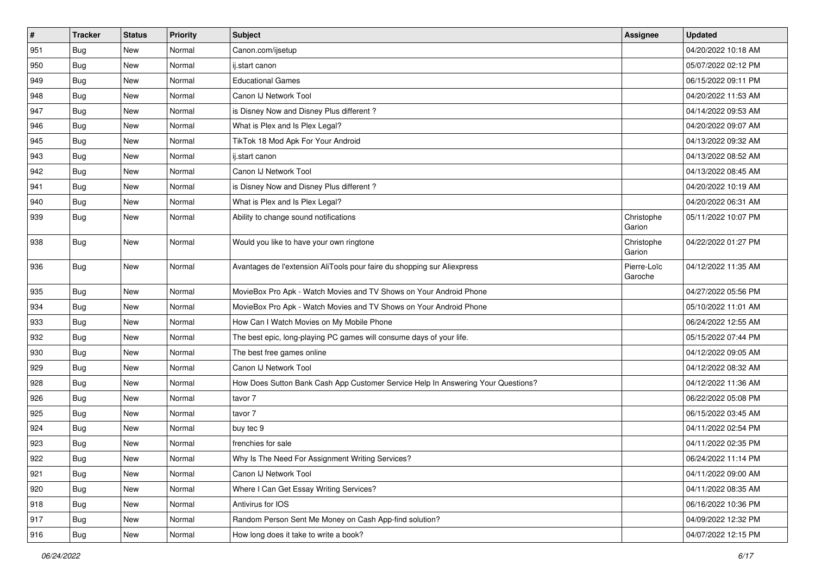| $\pmb{\#}$ | Tracker    | <b>Status</b> | Priority | Subject                                                                          | <b>Assignee</b>        | <b>Updated</b>      |
|------------|------------|---------------|----------|----------------------------------------------------------------------------------|------------------------|---------------------|
| 951        | Bug        | New           | Normal   | Canon.com/ijsetup                                                                |                        | 04/20/2022 10:18 AM |
| 950        | Bug        | New           | Normal   | ij.start canon                                                                   |                        | 05/07/2022 02:12 PM |
| 949        | <b>Bug</b> | New           | Normal   | <b>Educational Games</b>                                                         |                        | 06/15/2022 09:11 PM |
| 948        | <b>Bug</b> | New           | Normal   | Canon IJ Network Tool                                                            |                        | 04/20/2022 11:53 AM |
| 947        | <b>Bug</b> | New           | Normal   | is Disney Now and Disney Plus different?                                         |                        | 04/14/2022 09:53 AM |
| 946        | <b>Bug</b> | New           | Normal   | What is Plex and Is Plex Legal?                                                  |                        | 04/20/2022 09:07 AM |
| 945        | Bug        | New           | Normal   | TikTok 18 Mod Apk For Your Android                                               |                        | 04/13/2022 09:32 AM |
| 943        | Bug        | New           | Normal   | ij.start canon                                                                   |                        | 04/13/2022 08:52 AM |
| 942        | <b>Bug</b> | New           | Normal   | Canon IJ Network Tool                                                            |                        | 04/13/2022 08:45 AM |
| 941        | Bug        | New           | Normal   | is Disney Now and Disney Plus different?                                         |                        | 04/20/2022 10:19 AM |
| 940        | <b>Bug</b> | New           | Normal   | What is Plex and Is Plex Legal?                                                  |                        | 04/20/2022 06:31 AM |
| 939        | Bug        | New           | Normal   | Ability to change sound notifications                                            | Christophe<br>Garion   | 05/11/2022 10:07 PM |
| 938        | <b>Bug</b> | New           | Normal   | Would you like to have your own ringtone                                         | Christophe<br>Garion   | 04/22/2022 01:27 PM |
| 936        | <b>Bug</b> | New           | Normal   | Avantages de l'extension AliTools pour faire du shopping sur Aliexpress          | Pierre-Loïc<br>Garoche | 04/12/2022 11:35 AM |
| 935        | Bug        | New           | Normal   | MovieBox Pro Apk - Watch Movies and TV Shows on Your Android Phone               |                        | 04/27/2022 05:56 PM |
| 934        | <b>Bug</b> | New           | Normal   | MovieBox Pro Apk - Watch Movies and TV Shows on Your Android Phone               |                        | 05/10/2022 11:01 AM |
| 933        | Bug        | New           | Normal   | How Can I Watch Movies on My Mobile Phone                                        |                        | 06/24/2022 12:55 AM |
| 932        | Bug        | New           | Normal   | The best epic, long-playing PC games will consume days of your life.             |                        | 05/15/2022 07:44 PM |
| 930        | <b>Bug</b> | New           | Normal   | The best free games online                                                       |                        | 04/12/2022 09:05 AM |
| 929        | <b>Bug</b> | New           | Normal   | Canon IJ Network Tool                                                            |                        | 04/12/2022 08:32 AM |
| 928        | Bug        | New           | Normal   | How Does Sutton Bank Cash App Customer Service Help In Answering Your Questions? |                        | 04/12/2022 11:36 AM |
| 926        | <b>Bug</b> | New           | Normal   | tavor 7                                                                          |                        | 06/22/2022 05:08 PM |
| 925        | Bug        | New           | Normal   | tavor 7                                                                          |                        | 06/15/2022 03:45 AM |
| 924        | <b>Bug</b> | New           | Normal   | buy tec 9                                                                        |                        | 04/11/2022 02:54 PM |
| 923        | <b>Bug</b> | New           | Normal   | frenchies for sale                                                               |                        | 04/11/2022 02:35 PM |
| 922<br>∽∸  | Bug        | New           | Normal   | Why Is The Need For Assignment Writing Services?                                 |                        | 06/24/2022 11:14 PM |
| 921        | Bug        | New           | Normal   | Canon IJ Network Tool                                                            |                        | 04/11/2022 09:00 AM |
| 920        | Bug        | New           | Normal   | Where I Can Get Essay Writing Services?                                          |                        | 04/11/2022 08:35 AM |
| 918        | Bug        | New           | Normal   | Antivirus for IOS                                                                |                        | 06/16/2022 10:36 PM |
| 917        | <b>Bug</b> | New           | Normal   | Random Person Sent Me Money on Cash App-find solution?                           |                        | 04/09/2022 12:32 PM |
| 916        | <b>Bug</b> | New           | Normal   | How long does it take to write a book?                                           |                        | 04/07/2022 12:15 PM |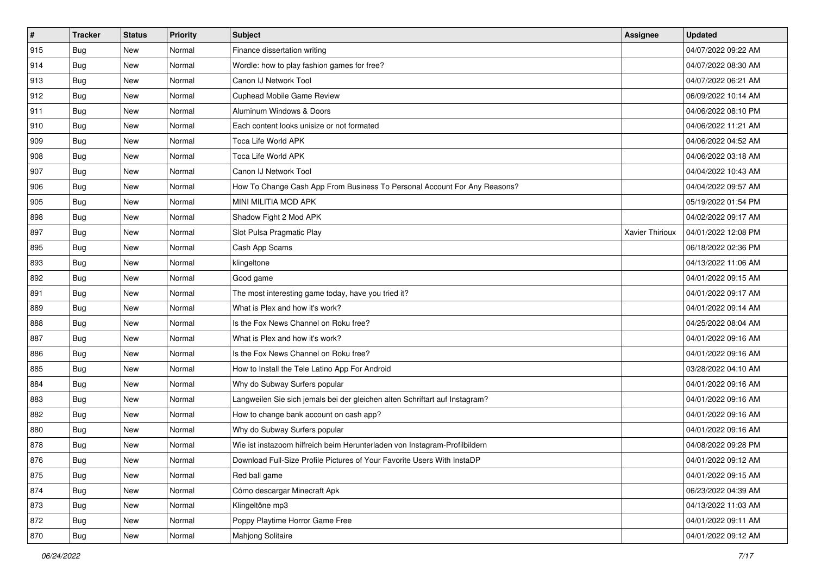| $\sharp$ | <b>Tracker</b> | <b>Status</b> | <b>Priority</b> | <b>Subject</b>                                                              | <b>Assignee</b> | <b>Updated</b>      |
|----------|----------------|---------------|-----------------|-----------------------------------------------------------------------------|-----------------|---------------------|
| 915      | <b>Bug</b>     | New           | Normal          | Finance dissertation writing                                                |                 | 04/07/2022 09:22 AM |
| 914      | <b>Bug</b>     | <b>New</b>    | Normal          | Wordle: how to play fashion games for free?                                 |                 | 04/07/2022 08:30 AM |
| 913      | Bug            | New           | Normal          | Canon IJ Network Tool                                                       |                 | 04/07/2022 06:21 AM |
| 912      | Bug            | New           | Normal          | Cuphead Mobile Game Review                                                  |                 | 06/09/2022 10:14 AM |
| 911      | Bug            | New           | Normal          | Aluminum Windows & Doors                                                    |                 | 04/06/2022 08:10 PM |
| 910      | Bug            | New           | Normal          | Each content looks unisize or not formated                                  |                 | 04/06/2022 11:21 AM |
| 909      | Bug            | New           | Normal          | Toca Life World APK                                                         |                 | 04/06/2022 04:52 AM |
| 908      | Bug            | New           | Normal          | Toca Life World APK                                                         |                 | 04/06/2022 03:18 AM |
| 907      | <b>Bug</b>     | New           | Normal          | Canon IJ Network Tool                                                       |                 | 04/04/2022 10:43 AM |
| 906      | Bug            | New           | Normal          | How To Change Cash App From Business To Personal Account For Any Reasons?   |                 | 04/04/2022 09:57 AM |
| 905      | <b>Bug</b>     | New           | Normal          | MINI MILITIA MOD APK                                                        |                 | 05/19/2022 01:54 PM |
| 898      | Bug            | New           | Normal          | Shadow Fight 2 Mod APK                                                      |                 | 04/02/2022 09:17 AM |
| 897      | Bug            | New           | Normal          | Slot Pulsa Pragmatic Play                                                   | Xavier Thirioux | 04/01/2022 12:08 PM |
| 895      | <b>Bug</b>     | New           | Normal          | Cash App Scams                                                              |                 | 06/18/2022 02:36 PM |
| 893      | <b>Bug</b>     | New           | Normal          | klingeltone                                                                 |                 | 04/13/2022 11:06 AM |
| 892      | Bug            | New           | Normal          | Good game                                                                   |                 | 04/01/2022 09:15 AM |
| 891      | Bug            | New           | Normal          | The most interesting game today, have you tried it?                         |                 | 04/01/2022 09:17 AM |
| 889      | <b>Bug</b>     | New           | Normal          | What is Plex and how it's work?                                             |                 | 04/01/2022 09:14 AM |
| 888      | <b>Bug</b>     | New           | Normal          | Is the Fox News Channel on Roku free?                                       |                 | 04/25/2022 08:04 AM |
| 887      | <b>Bug</b>     | New           | Normal          | What is Plex and how it's work?                                             |                 | 04/01/2022 09:16 AM |
| 886      | Bug            | New           | Normal          | Is the Fox News Channel on Roku free?                                       |                 | 04/01/2022 09:16 AM |
| 885      | <b>Bug</b>     | New           | Normal          | How to Install the Tele Latino App For Android                              |                 | 03/28/2022 04:10 AM |
| 884      | Bug            | New           | Normal          | Why do Subway Surfers popular                                               |                 | 04/01/2022 09:16 AM |
| 883      | <b>Bug</b>     | New           | Normal          | Langweilen Sie sich jemals bei der gleichen alten Schriftart auf Instagram? |                 | 04/01/2022 09:16 AM |
| 882      | <b>Bug</b>     | New           | Normal          | How to change bank account on cash app?                                     |                 | 04/01/2022 09:16 AM |
| 880      | Bug            | New           | Normal          | Why do Subway Surfers popular                                               |                 | 04/01/2022 09:16 AM |
| 878      | <b>Bug</b>     | New           | Normal          | Wie ist instazoom hilfreich beim Herunterladen von Instagram-Profilbildern  |                 | 04/08/2022 09:28 PM |
| 876      | I Bug          | New           | Normal          | Download Full-Size Profile Pictures of Your Favorite Users With InstaDP     |                 | 04/01/2022 09:12 AM |
| 875      | Bug            | New           | Normal          | Red ball game                                                               |                 | 04/01/2022 09:15 AM |
| 874      | Bug            | New           | Normal          | Cómo descargar Minecraft Apk                                                |                 | 06/23/2022 04:39 AM |
| 873      | Bug            | New           | Normal          | Klingeltöne mp3                                                             |                 | 04/13/2022 11:03 AM |
| 872      | Bug            | New           | Normal          | Poppy Playtime Horror Game Free                                             |                 | 04/01/2022 09:11 AM |
| 870      | <b>Bug</b>     | New           | Normal          | Mahjong Solitaire                                                           |                 | 04/01/2022 09:12 AM |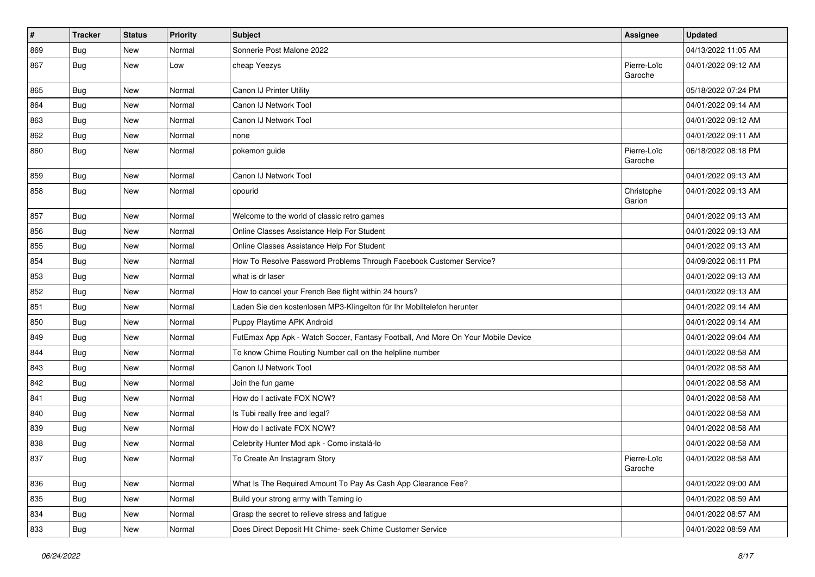| $\vert$ # | <b>Tracker</b> | <b>Status</b> | <b>Priority</b> | <b>Subject</b>                                                                   | Assignee               | <b>Updated</b>      |
|-----------|----------------|---------------|-----------------|----------------------------------------------------------------------------------|------------------------|---------------------|
| 869       | Bug            | New           | Normal          | Sonnerie Post Malone 2022                                                        |                        | 04/13/2022 11:05 AM |
| 867       | Bug            | New           | Low             | cheap Yeezys                                                                     | Pierre-Loïc<br>Garoche | 04/01/2022 09:12 AM |
| 865       | Bug            | <b>New</b>    | Normal          | Canon IJ Printer Utility                                                         |                        | 05/18/2022 07:24 PM |
| 864       | Bug            | <b>New</b>    | Normal          | Canon IJ Network Tool                                                            |                        | 04/01/2022 09:14 AM |
| 863       | Bug            | <b>New</b>    | Normal          | Canon IJ Network Tool                                                            |                        | 04/01/2022 09:12 AM |
| 862       | Bug            | <b>New</b>    | Normal          | none                                                                             |                        | 04/01/2022 09:11 AM |
| 860       | Bug            | New           | Normal          | pokemon guide                                                                    | Pierre-Loïc<br>Garoche | 06/18/2022 08:18 PM |
| 859       | Bug            | New           | Normal          | Canon IJ Network Tool                                                            |                        | 04/01/2022 09:13 AM |
| 858       | Bug            | New           | Normal          | opourid                                                                          | Christophe<br>Garion   | 04/01/2022 09:13 AM |
| 857       | Bug            | New           | Normal          | Welcome to the world of classic retro games                                      |                        | 04/01/2022 09:13 AM |
| 856       | Bug            | <b>New</b>    | Normal          | Online Classes Assistance Help For Student                                       |                        | 04/01/2022 09:13 AM |
| 855       | Bug            | <b>New</b>    | Normal          | Online Classes Assistance Help For Student                                       |                        | 04/01/2022 09:13 AM |
| 854       | Bug            | New           | Normal          | How To Resolve Password Problems Through Facebook Customer Service?              |                        | 04/09/2022 06:11 PM |
| 853       | Bug            | <b>New</b>    | Normal          | what is dr laser                                                                 |                        | 04/01/2022 09:13 AM |
| 852       | Bug            | <b>New</b>    | Normal          | How to cancel your French Bee flight within 24 hours?                            |                        | 04/01/2022 09:13 AM |
| 851       | Bug            | New           | Normal          | Laden Sie den kostenlosen MP3-Klingelton für Ihr Mobiltelefon herunter           |                        | 04/01/2022 09:14 AM |
| 850       | Bug            | New           | Normal          | Puppy Playtime APK Android                                                       |                        | 04/01/2022 09:14 AM |
| 849       | <b>Bug</b>     | <b>New</b>    | Normal          | FutEmax App Apk - Watch Soccer, Fantasy Football, And More On Your Mobile Device |                        | 04/01/2022 09:04 AM |
| 844       | Bug            | <b>New</b>    | Normal          | To know Chime Routing Number call on the helpline number                         |                        | 04/01/2022 08:58 AM |
| 843       | Bug            | New           | Normal          | Canon IJ Network Tool                                                            |                        | 04/01/2022 08:58 AM |
| 842       | <b>Bug</b>     | New           | Normal          | Join the fun game                                                                |                        | 04/01/2022 08:58 AM |
| 841       | Bug            | New           | Normal          | How do I activate FOX NOW?                                                       |                        | 04/01/2022 08:58 AM |
| 840       | Bug            | <b>New</b>    | Normal          | Is Tubi really free and legal?                                                   |                        | 04/01/2022 08:58 AM |
| 839       | <b>Bug</b>     | New           | Normal          | How do I activate FOX NOW?                                                       |                        | 04/01/2022 08:58 AM |
| 838       | Bug            | New           | Normal          | Celebrity Hunter Mod apk - Como instalá-lo                                       |                        | 04/01/2022 08:58 AM |
| 837       | Bug            | New           | Normal          | To Create An Instagram Story                                                     | Pierre-Loïc<br>Garoche | 04/01/2022 08:58 AM |
| 836       | <b>Bug</b>     | New           | Normal          | What Is The Required Amount To Pay As Cash App Clearance Fee?                    |                        | 04/01/2022 09:00 AM |
| 835       | <b>Bug</b>     | New           | Normal          | Build your strong army with Taming io                                            |                        | 04/01/2022 08:59 AM |
| 834       | <b>Bug</b>     | New           | Normal          | Grasp the secret to relieve stress and fatigue                                   |                        | 04/01/2022 08:57 AM |
| 833       | Bug            | New           | Normal          | Does Direct Deposit Hit Chime- seek Chime Customer Service                       |                        | 04/01/2022 08:59 AM |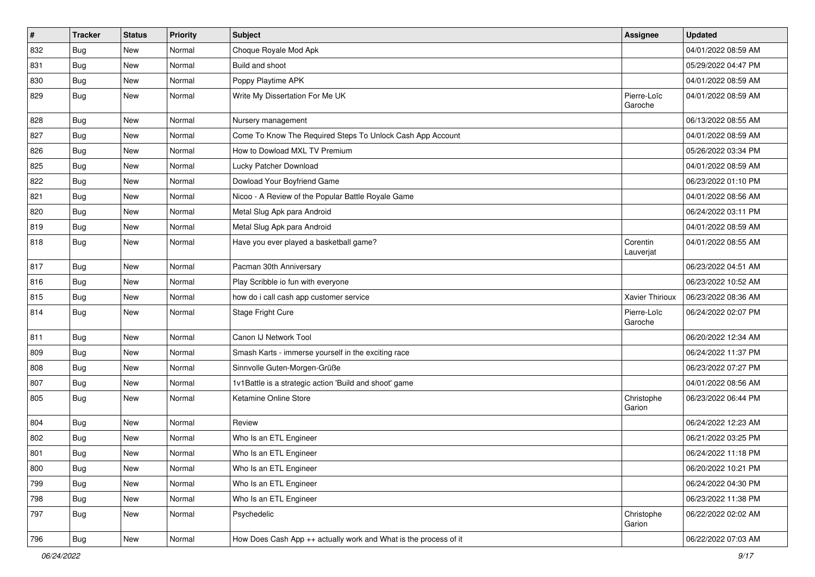| $\pmb{\#}$ | <b>Tracker</b> | <b>Status</b> | <b>Priority</b> | Subject                                                          | <b>Assignee</b>        | <b>Updated</b>      |
|------------|----------------|---------------|-----------------|------------------------------------------------------------------|------------------------|---------------------|
| 832        | <b>Bug</b>     | New           | Normal          | Choque Royale Mod Apk                                            |                        | 04/01/2022 08:59 AM |
| 831        | <b>Bug</b>     | New           | Normal          | Build and shoot                                                  |                        | 05/29/2022 04:47 PM |
| 830        | <b>Bug</b>     | New           | Normal          | Poppy Playtime APK                                               |                        | 04/01/2022 08:59 AM |
| 829        | <b>Bug</b>     | New           | Normal          | Write My Dissertation For Me UK                                  | Pierre-Loïc<br>Garoche | 04/01/2022 08:59 AM |
| 828        | <b>Bug</b>     | New           | Normal          | Nursery management                                               |                        | 06/13/2022 08:55 AM |
| 827        | <b>Bug</b>     | New           | Normal          | Come To Know The Required Steps To Unlock Cash App Account       |                        | 04/01/2022 08:59 AM |
| 826        | Bug            | New           | Normal          | How to Dowload MXL TV Premium                                    |                        | 05/26/2022 03:34 PM |
| 825        | <b>Bug</b>     | New           | Normal          | Lucky Patcher Download                                           |                        | 04/01/2022 08:59 AM |
| 822        | Bug            | New           | Normal          | Dowload Your Boyfriend Game                                      |                        | 06/23/2022 01:10 PM |
| 821        | <b>Bug</b>     | New           | Normal          | Nicoo - A Review of the Popular Battle Royale Game               |                        | 04/01/2022 08:56 AM |
| 820        | Bug            | New           | Normal          | Metal Slug Apk para Android                                      |                        | 06/24/2022 03:11 PM |
| 819        | <b>Bug</b>     | New           | Normal          | Metal Slug Apk para Android                                      |                        | 04/01/2022 08:59 AM |
| 818        | <b>Bug</b>     | New           | Normal          | Have you ever played a basketball game?                          | Corentin<br>Lauverjat  | 04/01/2022 08:55 AM |
| 817        | Bug            | New           | Normal          | Pacman 30th Anniversary                                          |                        | 06/23/2022 04:51 AM |
| 816        | <b>Bug</b>     | New           | Normal          | Play Scribble io fun with everyone                               |                        | 06/23/2022 10:52 AM |
| 815        | Bug            | New           | Normal          | how do i call cash app customer service                          | Xavier Thirioux        | 06/23/2022 08:36 AM |
| 814        | <b>Bug</b>     | New           | Normal          | Stage Fright Cure                                                | Pierre-Loïc<br>Garoche | 06/24/2022 02:07 PM |
| 811        | Bug            | New           | Normal          | Canon IJ Network Tool                                            |                        | 06/20/2022 12:34 AM |
| 809        | <b>Bug</b>     | New           | Normal          | Smash Karts - immerse yourself in the exciting race              |                        | 06/24/2022 11:37 PM |
| 808        | <b>Bug</b>     | New           | Normal          | Sinnvolle Guten-Morgen-Grüße                                     |                        | 06/23/2022 07:27 PM |
| 807        | Bug            | New           | Normal          | 1v1Battle is a strategic action 'Build and shoot' game           |                        | 04/01/2022 08:56 AM |
| 805        | <b>Bug</b>     | New           | Normal          | Ketamine Online Store                                            | Christophe<br>Garion   | 06/23/2022 06:44 PM |
| 804        | <b>Bug</b>     | <b>New</b>    | Normal          | Review                                                           |                        | 06/24/2022 12:23 AM |
| 802        | <b>Bug</b>     | New           | Normal          | Who Is an ETL Engineer                                           |                        | 06/21/2022 03:25 PM |
| 801        | <b>Bug</b>     | New           | Normal          | Who Is an ETL Engineer                                           |                        | 06/24/2022 11:18 PM |
| 800        | <b>Bug</b>     | New           | Normal          | Who Is an ETL Engineer                                           |                        | 06/20/2022 10:21 PM |
| 799        | <b>Bug</b>     | <b>New</b>    | Normal          | Who Is an ETL Engineer                                           |                        | 06/24/2022 04:30 PM |
| 798        | Bug            | New           | Normal          | Who Is an ETL Engineer                                           |                        | 06/23/2022 11:38 PM |
| 797        | Bug            | New           | Normal          | Psychedelic                                                      | Christophe<br>Garion   | 06/22/2022 02:02 AM |
| 796        | <b>Bug</b>     | New           | Normal          | How Does Cash App ++ actually work and What is the process of it |                        | 06/22/2022 07:03 AM |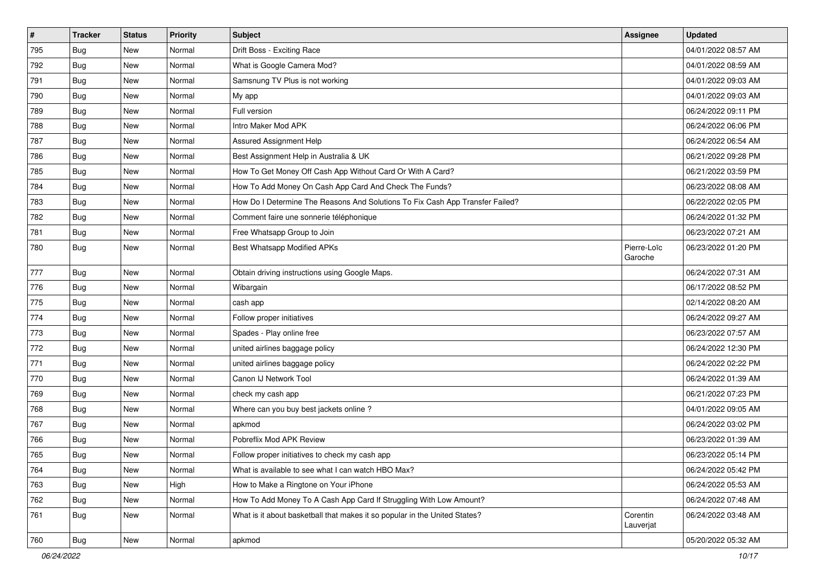| $\vert$ # | <b>Tracker</b> | <b>Status</b> | <b>Priority</b> | <b>Subject</b>                                                                | Assignee               | <b>Updated</b>      |
|-----------|----------------|---------------|-----------------|-------------------------------------------------------------------------------|------------------------|---------------------|
| 795       | <b>Bug</b>     | New           | Normal          | Drift Boss - Exciting Race                                                    |                        | 04/01/2022 08:57 AM |
| 792       | Bug            | New           | Normal          | What is Google Camera Mod?                                                    |                        | 04/01/2022 08:59 AM |
| 791       | <b>Bug</b>     | New           | Normal          | Samsnung TV Plus is not working                                               |                        | 04/01/2022 09:03 AM |
| 790       | <b>Bug</b>     | New           | Normal          | My app                                                                        |                        | 04/01/2022 09:03 AM |
| 789       | Bug            | New           | Normal          | Full version                                                                  |                        | 06/24/2022 09:11 PM |
| 788       | Bug            | New           | Normal          | Intro Maker Mod APK                                                           |                        | 06/24/2022 06:06 PM |
| 787       | <b>Bug</b>     | New           | Normal          | Assured Assignment Help                                                       |                        | 06/24/2022 06:54 AM |
| 786       | Bug            | New           | Normal          | Best Assignment Help in Australia & UK                                        |                        | 06/21/2022 09:28 PM |
| 785       | <b>Bug</b>     | New           | Normal          | How To Get Money Off Cash App Without Card Or With A Card?                    |                        | 06/21/2022 03:59 PM |
| 784       | Bug            | New           | Normal          | How To Add Money On Cash App Card And Check The Funds?                        |                        | 06/23/2022 08:08 AM |
| 783       | Bug            | New           | Normal          | How Do I Determine The Reasons And Solutions To Fix Cash App Transfer Failed? |                        | 06/22/2022 02:05 PM |
| 782       | Bug            | New           | Normal          | Comment faire une sonnerie téléphonique                                       |                        | 06/24/2022 01:32 PM |
| 781       | Bug            | New           | Normal          | Free Whatsapp Group to Join                                                   |                        | 06/23/2022 07:21 AM |
| 780       | Bug            | New           | Normal          | <b>Best Whatsapp Modified APKs</b>                                            | Pierre-Loïc<br>Garoche | 06/23/2022 01:20 PM |
| 777       | Bug            | New           | Normal          | Obtain driving instructions using Google Maps.                                |                        | 06/24/2022 07:31 AM |
| 776       | Bug            | New           | Normal          | Wibargain                                                                     |                        | 06/17/2022 08:52 PM |
| 775       | Bug            | New           | Normal          | cash app                                                                      |                        | 02/14/2022 08:20 AM |
| 774       | Bug            | New           | Normal          | Follow proper initiatives                                                     |                        | 06/24/2022 09:27 AM |
| 773       | <b>Bug</b>     | New           | Normal          | Spades - Play online free                                                     |                        | 06/23/2022 07:57 AM |
| 772       | Bug            | <b>New</b>    | Normal          | united airlines baggage policy                                                |                        | 06/24/2022 12:30 PM |
| 771       | Bug            | New           | Normal          | united airlines baggage policy                                                |                        | 06/24/2022 02:22 PM |
| 770       | Bug            | New           | Normal          | Canon IJ Network Tool                                                         |                        | 06/24/2022 01:39 AM |
| 769       | Bug            | New           | Normal          | check my cash app                                                             |                        | 06/21/2022 07:23 PM |
| 768       | Bug            | New           | Normal          | Where can you buy best jackets online?                                        |                        | 04/01/2022 09:05 AM |
| 767       | Bug            | New           | Normal          | apkmod                                                                        |                        | 06/24/2022 03:02 PM |
| 766       | Bug            | New           | Normal          | Pobreflix Mod APK Review                                                      |                        | 06/23/2022 01:39 AM |
| 765       | <b>Bug</b>     | New           | Normal          | Follow proper initiatives to check my cash app                                |                        | 06/23/2022 05:14 PM |
| 764       | <b>Bug</b>     | New           | Normal          | What is available to see what I can watch HBO Max?                            |                        | 06/24/2022 05:42 PM |
| 763       | Bug            | New           | High            | How to Make a Ringtone on Your iPhone                                         |                        | 06/24/2022 05:53 AM |
| 762       | Bug            | New           | Normal          | How To Add Money To A Cash App Card If Struggling With Low Amount?            |                        | 06/24/2022 07:48 AM |
| 761       | Bug            | New           | Normal          | What is it about basketball that makes it so popular in the United States?    | Corentin<br>Lauverjat  | 06/24/2022 03:48 AM |
| 760       | <b>Bug</b>     | New           | Normal          | apkmod                                                                        |                        | 05/20/2022 05:32 AM |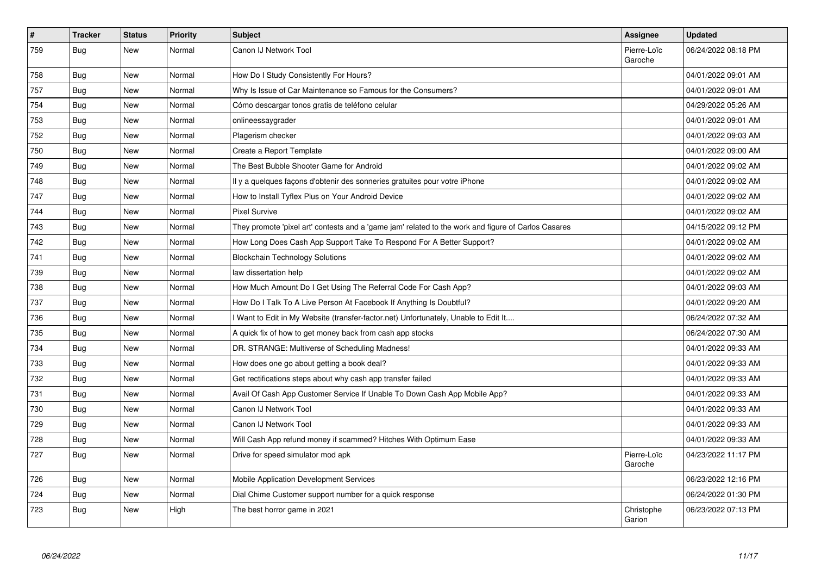| $\sharp$ | <b>Tracker</b> | <b>Status</b> | <b>Priority</b> | <b>Subject</b>                                                                                      | Assignee               | <b>Updated</b>      |
|----------|----------------|---------------|-----------------|-----------------------------------------------------------------------------------------------------|------------------------|---------------------|
| 759      | Bug            | New           | Normal          | Canon IJ Network Tool                                                                               | Pierre-Loïc<br>Garoche | 06/24/2022 08:18 PM |
| 758      | Bug            | <b>New</b>    | Normal          | How Do I Study Consistently For Hours?                                                              |                        | 04/01/2022 09:01 AM |
| 757      | Bug            | <b>New</b>    | Normal          | Why Is Issue of Car Maintenance so Famous for the Consumers?                                        |                        | 04/01/2022 09:01 AM |
| 754      | <b>Bug</b>     | <b>New</b>    | Normal          | Cómo descargar tonos gratis de teléfono celular                                                     |                        | 04/29/2022 05:26 AM |
| 753      | Bug            | <b>New</b>    | Normal          | onlineessaygrader                                                                                   |                        | 04/01/2022 09:01 AM |
| 752      | <b>Bug</b>     | <b>New</b>    | Normal          | Plagerism checker                                                                                   |                        | 04/01/2022 09:03 AM |
| 750      | Bug            | <b>New</b>    | Normal          | Create a Report Template                                                                            |                        | 04/01/2022 09:00 AM |
| 749      | Bug            | <b>New</b>    | Normal          | The Best Bubble Shooter Game for Android                                                            |                        | 04/01/2022 09:02 AM |
| 748      | Bug            | <b>New</b>    | Normal          | Il y a quelques façons d'obtenir des sonneries gratuites pour votre iPhone                          |                        | 04/01/2022 09:02 AM |
| 747      | Bug            | <b>New</b>    | Normal          | How to Install Tyflex Plus on Your Android Device                                                   |                        | 04/01/2022 09:02 AM |
| 744      | Bug            | New           | Normal          | <b>Pixel Survive</b>                                                                                |                        | 04/01/2022 09:02 AM |
| 743      | Bug            | <b>New</b>    | Normal          | They promote 'pixel art' contests and a 'game jam' related to the work and figure of Carlos Casares |                        | 04/15/2022 09:12 PM |
| 742      | Bug            | New           | Normal          | How Long Does Cash App Support Take To Respond For A Better Support?                                |                        | 04/01/2022 09:02 AM |
| 741      | Bug            | New           | Normal          | <b>Blockchain Technology Solutions</b>                                                              |                        | 04/01/2022 09:02 AM |
| 739      | Bug            | <b>New</b>    | Normal          | law dissertation help                                                                               |                        | 04/01/2022 09:02 AM |
| 738      | Bug            | New           | Normal          | How Much Amount Do I Get Using The Referral Code For Cash App?                                      |                        | 04/01/2022 09:03 AM |
| 737      | Bug            | <b>New</b>    | Normal          | How Do I Talk To A Live Person At Facebook If Anything Is Doubtful?                                 |                        | 04/01/2022 09:20 AM |
| 736      | <b>Bug</b>     | <b>New</b>    | Normal          | Want to Edit in My Website (transfer-factor.net) Unfortunately, Unable to Edit It                   |                        | 06/24/2022 07:32 AM |
| 735      | Bug            | <b>New</b>    | Normal          | A quick fix of how to get money back from cash app stocks                                           |                        | 06/24/2022 07:30 AM |
| 734      | <b>Bug</b>     | <b>New</b>    | Normal          | DR. STRANGE: Multiverse of Scheduling Madness!                                                      |                        | 04/01/2022 09:33 AM |
| 733      | Bug            | <b>New</b>    | Normal          | How does one go about getting a book deal?                                                          |                        | 04/01/2022 09:33 AM |
| 732      | <b>Bug</b>     | <b>New</b>    | Normal          | Get rectifications steps about why cash app transfer failed                                         |                        | 04/01/2022 09:33 AM |
| 731      | Bug            | <b>New</b>    | Normal          | Avail Of Cash App Customer Service If Unable To Down Cash App Mobile App?                           |                        | 04/01/2022 09:33 AM |
| 730      | Bug            | <b>New</b>    | Normal          | Canon IJ Network Tool                                                                               |                        | 04/01/2022 09:33 AM |
| 729      | Bug            | <b>New</b>    | Normal          | Canon IJ Network Tool                                                                               |                        | 04/01/2022 09:33 AM |
| 728      | <b>Bug</b>     | <b>New</b>    | Normal          | Will Cash App refund money if scammed? Hitches With Optimum Ease                                    |                        | 04/01/2022 09:33 AM |
| 727      | <b>Bug</b>     | New           | Normal          | Drive for speed simulator mod apk                                                                   | Pierre-Loïc<br>Garoche | 04/23/2022 11:17 PM |
| 726      | Bug            | <b>New</b>    | Normal          | Mobile Application Development Services                                                             |                        | 06/23/2022 12:16 PM |
| 724      | Bug            | <b>New</b>    | Normal          | Dial Chime Customer support number for a quick response                                             |                        | 06/24/2022 01:30 PM |
| 723      | Bug            | New           | High            | The best horror game in 2021                                                                        | Christophe<br>Garion   | 06/23/2022 07:13 PM |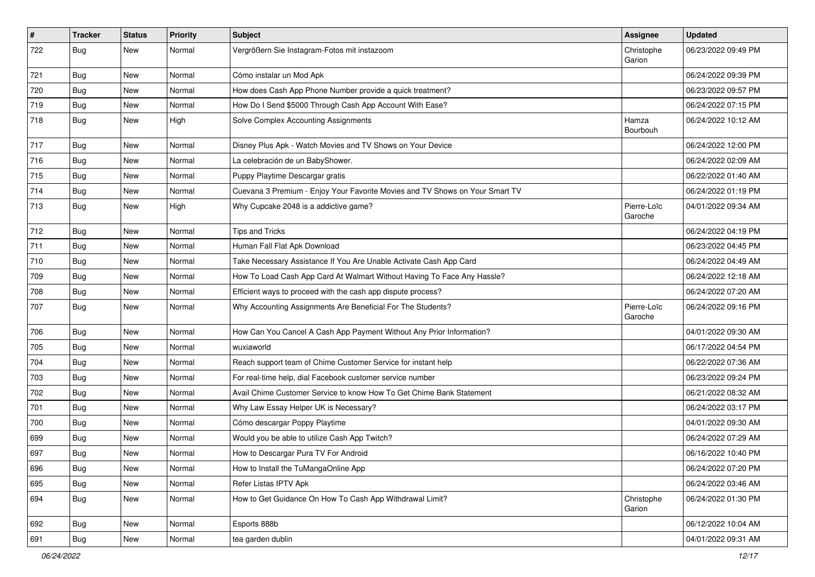| $\pmb{\#}$ | <b>Tracker</b> | <b>Status</b> | Priority | <b>Subject</b>                                                               | <b>Assignee</b>        | <b>Updated</b>      |
|------------|----------------|---------------|----------|------------------------------------------------------------------------------|------------------------|---------------------|
| 722        | <b>Bug</b>     | New           | Normal   | Vergrößern Sie Instagram-Fotos mit instazoom                                 | Christophe<br>Garion   | 06/23/2022 09:49 PM |
| 721        | <b>Bug</b>     | New           | Normal   | Cómo instalar un Mod Apk                                                     |                        | 06/24/2022 09:39 PM |
| 720        | <b>Bug</b>     | New           | Normal   | How does Cash App Phone Number provide a quick treatment?                    |                        | 06/23/2022 09:57 PM |
| 719        | Bug            | New           | Normal   | How Do I Send \$5000 Through Cash App Account With Ease?                     |                        | 06/24/2022 07:15 PM |
| 718        | <b>Bug</b>     | New           | High     | Solve Complex Accounting Assignments                                         | Hamza<br>Bourbouh      | 06/24/2022 10:12 AM |
| 717        | Bug            | <b>New</b>    | Normal   | Disney Plus Apk - Watch Movies and TV Shows on Your Device                   |                        | 06/24/2022 12:00 PM |
| 716        | Bug            | New           | Normal   | La celebración de un BabyShower.                                             |                        | 06/24/2022 02:09 AM |
| 715        | Bug            | New           | Normal   | Puppy Playtime Descargar gratis                                              |                        | 06/22/2022 01:40 AM |
| 714        | <b>Bug</b>     | New           | Normal   | Cuevana 3 Premium - Enjoy Your Favorite Movies and TV Shows on Your Smart TV |                        | 06/24/2022 01:19 PM |
| 713        | Bug            | New           | High     | Why Cupcake 2048 is a addictive game?                                        | Pierre-Loïc<br>Garoche | 04/01/2022 09:34 AM |
| 712        | Bug            | New           | Normal   | <b>Tips and Tricks</b>                                                       |                        | 06/24/2022 04:19 PM |
| 711        | Bug            | New           | Normal   | Human Fall Flat Apk Download                                                 |                        | 06/23/2022 04:45 PM |
| 710        | Bug            | New           | Normal   | Take Necessary Assistance If You Are Unable Activate Cash App Card           |                        | 06/24/2022 04:49 AM |
| 709        | <b>Bug</b>     | New           | Normal   | How To Load Cash App Card At Walmart Without Having To Face Any Hassle?      |                        | 06/24/2022 12:18 AM |
| 708        | Bug            | New           | Normal   | Efficient ways to proceed with the cash app dispute process?                 |                        | 06/24/2022 07:20 AM |
| 707        | <b>Bug</b>     | New           | Normal   | Why Accounting Assignments Are Beneficial For The Students?                  | Pierre-Loïc<br>Garoche | 06/24/2022 09:16 PM |
| 706        | Bug            | New           | Normal   | How Can You Cancel A Cash App Payment Without Any Prior Information?         |                        | 04/01/2022 09:30 AM |
| 705        | <b>Bug</b>     | New           | Normal   | wuxiaworld                                                                   |                        | 06/17/2022 04:54 PM |
| 704        | Bug            | New           | Normal   | Reach support team of Chime Customer Service for instant help                |                        | 06/22/2022 07:36 AM |
| 703        | <b>Bug</b>     | New           | Normal   | For real-time help, dial Facebook customer service number                    |                        | 06/23/2022 09:24 PM |
| 702        | <b>Bug</b>     | New           | Normal   | Avail Chime Customer Service to know How To Get Chime Bank Statement         |                        | 06/21/2022 08:32 AM |
| 701        | Bug            | New           | Normal   | Why Law Essay Helper UK is Necessary?                                        |                        | 06/24/2022 03:17 PM |
| 700        | <b>Bug</b>     | New           | Normal   | Cómo descargar Poppy Playtime                                                |                        | 04/01/2022 09:30 AM |
| 699        | <b>Bug</b>     | New           | Normal   | Would you be able to utilize Cash App Twitch?                                |                        | 06/24/2022 07:29 AM |
| 697        | <b>Bug</b>     | New           | Normal   | How to Descargar Pura TV For Android                                         |                        | 06/16/2022 10:40 PM |
| 696        | <b>Bug</b>     | New           | Normal   | How to Install the TuMangaOnline App                                         |                        | 06/24/2022 07:20 PM |
| 695        | Bug            | New           | Normal   | Refer Listas IPTV Apk                                                        |                        | 06/24/2022 03:46 AM |
| 694        | Bug            | New           | Normal   | How to Get Guidance On How To Cash App Withdrawal Limit?                     | Christophe<br>Garion   | 06/24/2022 01:30 PM |
| 692        | <b>Bug</b>     | New           | Normal   | Esports 888b                                                                 |                        | 06/12/2022 10:04 AM |
| 691        | <b>Bug</b>     | New           | Normal   | tea garden dublin                                                            |                        | 04/01/2022 09:31 AM |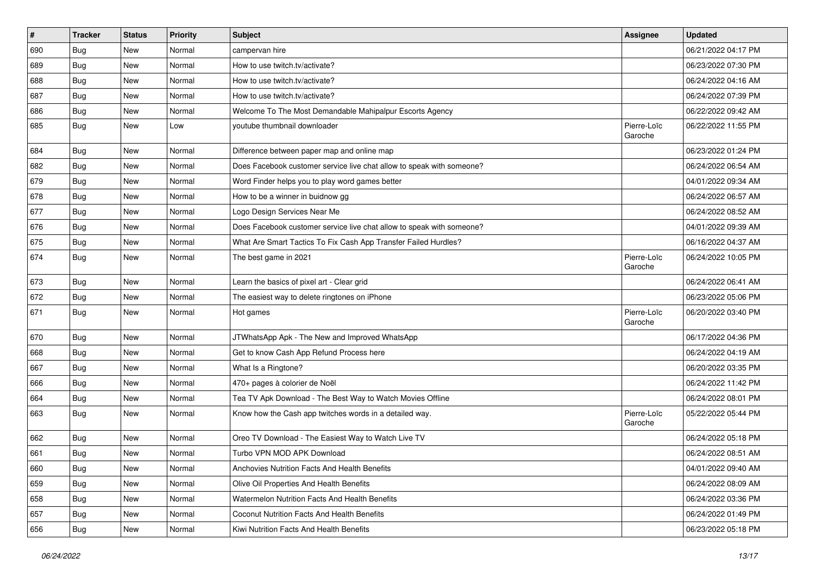| $\vert$ # | <b>Tracker</b> | <b>Status</b> | <b>Priority</b> | <b>Subject</b>                                                        | Assignee               | <b>Updated</b>      |
|-----------|----------------|---------------|-----------------|-----------------------------------------------------------------------|------------------------|---------------------|
| 690       | Bug            | New           | Normal          | campervan hire                                                        |                        | 06/21/2022 04:17 PM |
| 689       | Bug            | New           | Normal          | How to use twitch.tv/activate?                                        |                        | 06/23/2022 07:30 PM |
| 688       | Bug            | New           | Normal          | How to use twitch.tv/activate?                                        |                        | 06/24/2022 04:16 AM |
| 687       | Bug            | New           | Normal          | How to use twitch.tv/activate?                                        |                        | 06/24/2022 07:39 PM |
| 686       | Bug            | <b>New</b>    | Normal          | Welcome To The Most Demandable Mahipalpur Escorts Agency              |                        | 06/22/2022 09:42 AM |
| 685       | Bug            | New           | Low             | youtube thumbnail downloader                                          | Pierre-Loïc<br>Garoche | 06/22/2022 11:55 PM |
| 684       | Bug            | New           | Normal          | Difference between paper map and online map                           |                        | 06/23/2022 01:24 PM |
| 682       | Bug            | New           | Normal          | Does Facebook customer service live chat allow to speak with someone? |                        | 06/24/2022 06:54 AM |
| 679       | Bug            | New           | Normal          | Word Finder helps you to play word games better                       |                        | 04/01/2022 09:34 AM |
| 678       | Bug            | <b>New</b>    | Normal          | How to be a winner in buidnow gg                                      |                        | 06/24/2022 06:57 AM |
| 677       | Bug            | New           | Normal          | Logo Design Services Near Me                                          |                        | 06/24/2022 08:52 AM |
| 676       | <b>Bug</b>     | New           | Normal          | Does Facebook customer service live chat allow to speak with someone? |                        | 04/01/2022 09:39 AM |
| 675       | Bug            | New           | Normal          | What Are Smart Tactics To Fix Cash App Transfer Failed Hurdles?       |                        | 06/16/2022 04:37 AM |
| 674       | Bug            | New           | Normal          | The best game in 2021                                                 | Pierre-Loïc<br>Garoche | 06/24/2022 10:05 PM |
| 673       | Bug            | New           | Normal          | Learn the basics of pixel art - Clear grid                            |                        | 06/24/2022 06:41 AM |
| 672       | Bug            | New           | Normal          | The easiest way to delete ringtones on iPhone                         |                        | 06/23/2022 05:06 PM |
| 671       | Bug            | New           | Normal          | Hot games                                                             | Pierre-Loïc<br>Garoche | 06/20/2022 03:40 PM |
| 670       | Bug            | New           | Normal          | JTWhatsApp Apk - The New and Improved WhatsApp                        |                        | 06/17/2022 04:36 PM |
| 668       | Bug            | New           | Normal          | Get to know Cash App Refund Process here                              |                        | 06/24/2022 04:19 AM |
| 667       | Bug            | New           | Normal          | What Is a Ringtone?                                                   |                        | 06/20/2022 03:35 PM |
| 666       | <b>Bug</b>     | New           | Normal          | 470+ pages à colorier de Noël                                         |                        | 06/24/2022 11:42 PM |
| 664       | Bug            | New           | Normal          | Tea TV Apk Download - The Best Way to Watch Movies Offline            |                        | 06/24/2022 08:01 PM |
| 663       | <b>Bug</b>     | New           | Normal          | Know how the Cash app twitches words in a detailed way.               | Pierre-Loïc<br>Garoche | 05/22/2022 05:44 PM |
| 662       | <b>Bug</b>     | <b>New</b>    | Normal          | Oreo TV Download - The Easiest Way to Watch Live TV                   |                        | 06/24/2022 05:18 PM |
| 661       | <b>Bug</b>     | New           | Normal          | Turbo VPN MOD APK Download                                            |                        | 06/24/2022 08:51 AM |
| 660       | Bug            | New           | Normal          | Anchovies Nutrition Facts And Health Benefits                         |                        | 04/01/2022 09:40 AM |
| 659       | Bug            | New           | Normal          | Olive Oil Properties And Health Benefits                              |                        | 06/24/2022 08:09 AM |
| 658       | <b>Bug</b>     | New           | Normal          | Watermelon Nutrition Facts And Health Benefits                        |                        | 06/24/2022 03:36 PM |
| 657       | <b>Bug</b>     | New           | Normal          | Coconut Nutrition Facts And Health Benefits                           |                        | 06/24/2022 01:49 PM |
| 656       | <b>Bug</b>     | New           | Normal          | Kiwi Nutrition Facts And Health Benefits                              |                        | 06/23/2022 05:18 PM |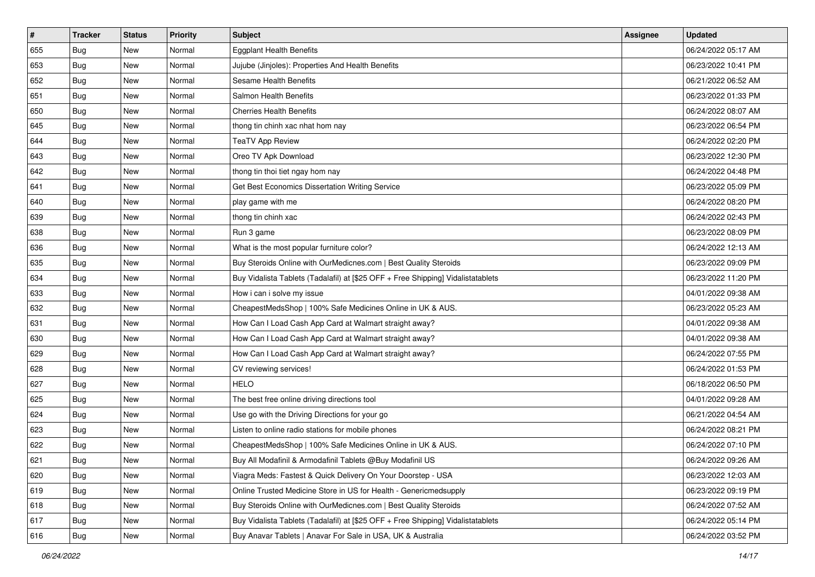| $\vert$ # | <b>Tracker</b> | <b>Status</b> | Priority | <b>Subject</b>                                                                   | <b>Assignee</b> | <b>Updated</b>      |
|-----------|----------------|---------------|----------|----------------------------------------------------------------------------------|-----------------|---------------------|
| 655       | <b>Bug</b>     | New           | Normal   | <b>Eggplant Health Benefits</b>                                                  |                 | 06/24/2022 05:17 AM |
| 653       | Bug            | New           | Normal   | Jujube (Jinjoles): Properties And Health Benefits                                |                 | 06/23/2022 10:41 PM |
| 652       | Bug            | New           | Normal   | Sesame Health Benefits                                                           |                 | 06/21/2022 06:52 AM |
| 651       | <b>Bug</b>     | New           | Normal   | Salmon Health Benefits                                                           |                 | 06/23/2022 01:33 PM |
| 650       | Bug            | New           | Normal   | <b>Cherries Health Benefits</b>                                                  |                 | 06/24/2022 08:07 AM |
| 645       | <b>Bug</b>     | New           | Normal   | thong tin chinh xac nhat hom nay                                                 |                 | 06/23/2022 06:54 PM |
| 644       | <b>Bug</b>     | New           | Normal   | <b>TeaTV App Review</b>                                                          |                 | 06/24/2022 02:20 PM |
| 643       | <b>Bug</b>     | New           | Normal   | Oreo TV Apk Download                                                             |                 | 06/23/2022 12:30 PM |
| 642       | <b>Bug</b>     | New           | Normal   | thong tin thoi tiet ngay hom nay                                                 |                 | 06/24/2022 04:48 PM |
| 641       | Bug            | New           | Normal   | Get Best Economics Dissertation Writing Service                                  |                 | 06/23/2022 05:09 PM |
| 640       | Bug            | New           | Normal   | play game with me                                                                |                 | 06/24/2022 08:20 PM |
| 639       | Bug            | New           | Normal   | thong tin chinh xac                                                              |                 | 06/24/2022 02:43 PM |
| 638       | Bug            | New           | Normal   | Run 3 game                                                                       |                 | 06/23/2022 08:09 PM |
| 636       | <b>Bug</b>     | New           | Normal   | What is the most popular furniture color?                                        |                 | 06/24/2022 12:13 AM |
| 635       | <b>Bug</b>     | New           | Normal   | Buy Steroids Online with OurMedicnes.com   Best Quality Steroids                 |                 | 06/23/2022 09:09 PM |
| 634       | Bug            | New           | Normal   | Buy Vidalista Tablets (Tadalafil) at [\$25 OFF + Free Shipping] Vidalistatablets |                 | 06/23/2022 11:20 PM |
| 633       | <b>Bug</b>     | New           | Normal   | How i can i solve my issue                                                       |                 | 04/01/2022 09:38 AM |
| 632       | Bug            | New           | Normal   | CheapestMedsShop   100% Safe Medicines Online in UK & AUS.                       |                 | 06/23/2022 05:23 AM |
| 631       | <b>Bug</b>     | New           | Normal   | How Can I Load Cash App Card at Walmart straight away?                           |                 | 04/01/2022 09:38 AM |
| 630       | Bug            | New           | Normal   | How Can I Load Cash App Card at Walmart straight away?                           |                 | 04/01/2022 09:38 AM |
| 629       | <b>Bug</b>     | New           | Normal   | How Can I Load Cash App Card at Walmart straight away?                           |                 | 06/24/2022 07:55 PM |
| 628       | <b>Bug</b>     | New           | Normal   | CV reviewing services!                                                           |                 | 06/24/2022 01:53 PM |
| 627       | Bug            | New           | Normal   | <b>HELO</b>                                                                      |                 | 06/18/2022 06:50 PM |
| 625       | <b>Bug</b>     | New           | Normal   | The best free online driving directions tool                                     |                 | 04/01/2022 09:28 AM |
| 624       | Bug            | New           | Normal   | Use go with the Driving Directions for your go                                   |                 | 06/21/2022 04:54 AM |
| 623       | <b>Bug</b>     | New           | Normal   | Listen to online radio stations for mobile phones                                |                 | 06/24/2022 08:21 PM |
| 622       | <b>Bug</b>     | New           | Normal   | CheapestMedsShop   100% Safe Medicines Online in UK & AUS.                       |                 | 06/24/2022 07:10 PM |
| 621       | I Bug          | New           | Normal   | Buy All Modafinil & Armodafinil Tablets @Buy Modafinil US                        |                 | 06/24/2022 09:26 AM |
| 620       | Bug            | New           | Normal   | Viagra Meds: Fastest & Quick Delivery On Your Doorstep - USA                     |                 | 06/23/2022 12:03 AM |
| 619       | Bug            | New           | Normal   | Online Trusted Medicine Store in US for Health - Genericmedsupply                |                 | 06/23/2022 09:19 PM |
| 618       | Bug            | New           | Normal   | Buy Steroids Online with OurMedicnes.com   Best Quality Steroids                 |                 | 06/24/2022 07:52 AM |
| 617       | Bug            | New           | Normal   | Buy Vidalista Tablets (Tadalafil) at [\$25 OFF + Free Shipping] Vidalistatablets |                 | 06/24/2022 05:14 PM |
| 616       | <b>Bug</b>     | New           | Normal   | Buy Anavar Tablets   Anavar For Sale in USA, UK & Australia                      |                 | 06/24/2022 03:52 PM |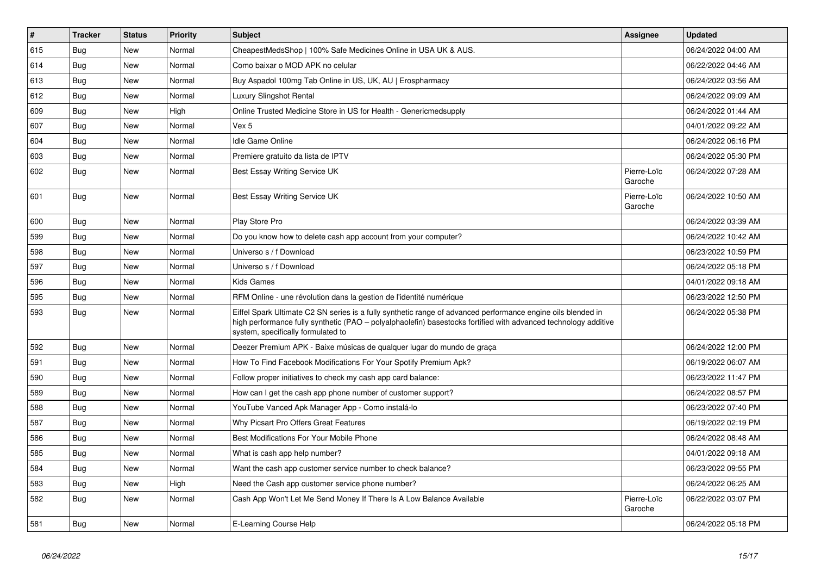| $\vert$ # | <b>Tracker</b> | <b>Status</b> | <b>Priority</b> | <b>Subject</b>                                                                                                                                                                                                                                                        | <b>Assignee</b>        | <b>Updated</b>      |
|-----------|----------------|---------------|-----------------|-----------------------------------------------------------------------------------------------------------------------------------------------------------------------------------------------------------------------------------------------------------------------|------------------------|---------------------|
| 615       | Bug            | New           | Normal          | CheapestMedsShop   100% Safe Medicines Online in USA UK & AUS.                                                                                                                                                                                                        |                        | 06/24/2022 04:00 AM |
| 614       | Bug            | <b>New</b>    | Normal          | Como baixar o MOD APK no celular                                                                                                                                                                                                                                      |                        | 06/22/2022 04:46 AM |
| 613       | <b>Bug</b>     | <b>New</b>    | Normal          | Buy Aspadol 100mg Tab Online in US, UK, AU   Erospharmacy                                                                                                                                                                                                             |                        | 06/24/2022 03:56 AM |
| 612       | Bug            | <b>New</b>    | Normal          | Luxury Slingshot Rental                                                                                                                                                                                                                                               |                        | 06/24/2022 09:09 AM |
| 609       | <b>Bug</b>     | New           | High            | Online Trusted Medicine Store in US for Health - Genericmedsupply                                                                                                                                                                                                     |                        | 06/24/2022 01:44 AM |
| 607       | Bug            | <b>New</b>    | Normal          | Vex 5                                                                                                                                                                                                                                                                 |                        | 04/01/2022 09:22 AM |
| 604       | Bug            | <b>New</b>    | Normal          | <b>Idle Game Online</b>                                                                                                                                                                                                                                               |                        | 06/24/2022 06:16 PM |
| 603       | Bug            | <b>New</b>    | Normal          | Premiere gratuito da lista de IPTV                                                                                                                                                                                                                                    |                        | 06/24/2022 05:30 PM |
| 602       | <b>Bug</b>     | <b>New</b>    | Normal          | Best Essay Writing Service UK                                                                                                                                                                                                                                         | Pierre-Loïc<br>Garoche | 06/24/2022 07:28 AM |
| 601       | <b>Bug</b>     | <b>New</b>    | Normal          | Best Essay Writing Service UK                                                                                                                                                                                                                                         | Pierre-Loïc<br>Garoche | 06/24/2022 10:50 AM |
| 600       | Bug            | New           | Normal          | Play Store Pro                                                                                                                                                                                                                                                        |                        | 06/24/2022 03:39 AM |
| 599       | Bug            | New           | Normal          | Do you know how to delete cash app account from your computer?                                                                                                                                                                                                        |                        | 06/24/2022 10:42 AM |
| 598       | Bug            | New           | Normal          | Universo s / f Download                                                                                                                                                                                                                                               |                        | 06/23/2022 10:59 PM |
| 597       | Bug            | <b>New</b>    | Normal          | Universo s / f Download                                                                                                                                                                                                                                               |                        | 06/24/2022 05:18 PM |
| 596       | Bug            | <b>New</b>    | Normal          | <b>Kids Games</b>                                                                                                                                                                                                                                                     |                        | 04/01/2022 09:18 AM |
| 595       | Bug            | New           | Normal          | RFM Online - une révolution dans la gestion de l'identité numérique                                                                                                                                                                                                   |                        | 06/23/2022 12:50 PM |
| 593       | Bug            | New           | Normal          | Eiffel Spark Ultimate C2 SN series is a fully synthetic range of advanced performance engine oils blended in<br>high performance fully synthetic (PAO - polyalphaolefin) basestocks fortified with advanced technology additive<br>system, specifically formulated to |                        | 06/24/2022 05:38 PM |
| 592       | Bug            | <b>New</b>    | Normal          | Deezer Premium APK - Baixe músicas de gualguer lugar do mundo de graca                                                                                                                                                                                                |                        | 06/24/2022 12:00 PM |
| 591       | <b>Bug</b>     | <b>New</b>    | Normal          | How To Find Facebook Modifications For Your Spotify Premium Apk?                                                                                                                                                                                                      |                        | 06/19/2022 06:07 AM |
| 590       | Bug            | <b>New</b>    | Normal          | Follow proper initiatives to check my cash app card balance:                                                                                                                                                                                                          |                        | 06/23/2022 11:47 PM |
| 589       | <b>Bug</b>     | <b>New</b>    | Normal          | How can I get the cash app phone number of customer support?                                                                                                                                                                                                          |                        | 06/24/2022 08:57 PM |
| 588       | <b>Bug</b>     | <b>New</b>    | Normal          | YouTube Vanced Apk Manager App - Como instalá-lo                                                                                                                                                                                                                      |                        | 06/23/2022 07:40 PM |
| 587       | <b>Bug</b>     | <b>New</b>    | Normal          | Why Picsart Pro Offers Great Features                                                                                                                                                                                                                                 |                        | 06/19/2022 02:19 PM |
| 586       | Bug            | <b>New</b>    | Normal          | Best Modifications For Your Mobile Phone                                                                                                                                                                                                                              |                        | 06/24/2022 08:48 AM |
| 585       | <b>Bug</b>     | <b>New</b>    | Normal          | What is cash app help number?                                                                                                                                                                                                                                         |                        | 04/01/2022 09:18 AM |
| 584       | <b>Bug</b>     | <b>New</b>    | Normal          | Want the cash app customer service number to check balance?                                                                                                                                                                                                           |                        | 06/23/2022 09:55 PM |
| 583       | <b>Bug</b>     | <b>New</b>    | High            | Need the Cash app customer service phone number?                                                                                                                                                                                                                      |                        | 06/24/2022 06:25 AM |
| 582       | <b>Bug</b>     | <b>New</b>    | Normal          | Cash App Won't Let Me Send Money If There Is A Low Balance Available                                                                                                                                                                                                  | Pierre-Loïc<br>Garoche | 06/22/2022 03:07 PM |
| 581       | Bug            | New           | Normal          | E-Learning Course Help                                                                                                                                                                                                                                                |                        | 06/24/2022 05:18 PM |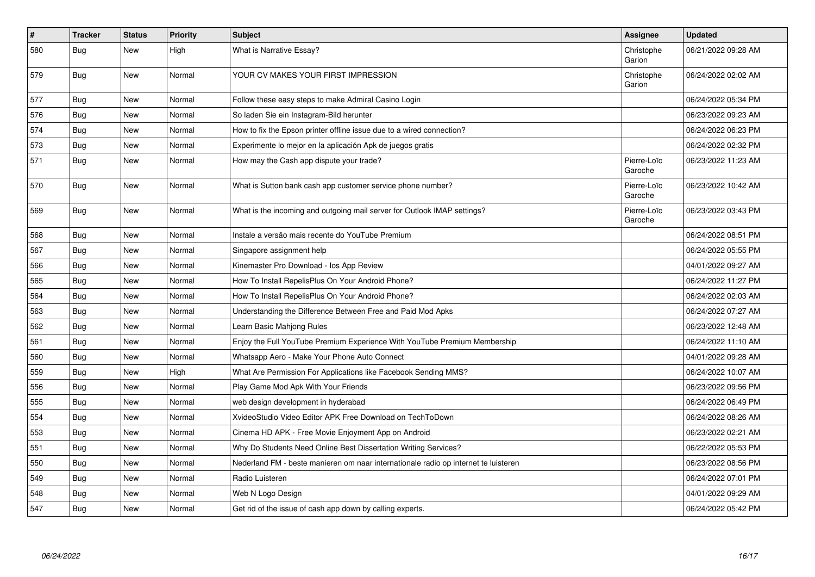| #   | <b>Tracker</b> | <b>Status</b> | Priority | <b>Subject</b>                                                                      | Assignee               | <b>Updated</b>      |
|-----|----------------|---------------|----------|-------------------------------------------------------------------------------------|------------------------|---------------------|
| 580 | <b>Bug</b>     | <b>New</b>    | High     | <b>What is Narrative Essay?</b>                                                     | Christophe<br>Garion   | 06/21/2022 09:28 AM |
| 579 | Bug            | New           | Normal   | YOUR CV MAKES YOUR FIRST IMPRESSION                                                 | Christophe<br>Garion   | 06/24/2022 02:02 AM |
| 577 | Bug            | New           | Normal   | Follow these easy steps to make Admiral Casino Login                                |                        | 06/24/2022 05:34 PM |
| 576 | <b>Bug</b>     | <b>New</b>    | Normal   | So laden Sie ein Instagram-Bild herunter                                            |                        | 06/23/2022 09:23 AM |
| 574 | Bug            | <b>New</b>    | Normal   | How to fix the Epson printer offline issue due to a wired connection?               |                        | 06/24/2022 06:23 PM |
| 573 | Bug            | New           | Normal   | Experimente lo mejor en la aplicación Apk de juegos gratis                          |                        | 06/24/2022 02:32 PM |
| 571 | <b>Bug</b>     | New           | Normal   | How may the Cash app dispute your trade?                                            | Pierre-Loïc<br>Garoche | 06/23/2022 11:23 AM |
| 570 | <b>Bug</b>     | New           | Normal   | What is Sutton bank cash app customer service phone number?                         | Pierre-Loïc<br>Garoche | 06/23/2022 10:42 AM |
| 569 | Bug            | New           | Normal   | What is the incoming and outgoing mail server for Outlook IMAP settings?            | Pierre-Loïc<br>Garoche | 06/23/2022 03:43 PM |
| 568 | Bug            | <b>New</b>    | Normal   | Instale a versão mais recente do YouTube Premium                                    |                        | 06/24/2022 08:51 PM |
| 567 | Bug            | New           | Normal   | Singapore assignment help                                                           |                        | 06/24/2022 05:55 PM |
| 566 | Bug            | New           | Normal   | Kinemaster Pro Download - los App Review                                            |                        | 04/01/2022 09:27 AM |
| 565 | <b>Bug</b>     | <b>New</b>    | Normal   | How To Install RepelisPlus On Your Android Phone?                                   |                        | 06/24/2022 11:27 PM |
| 564 | Bug            | New           | Normal   | How To Install RepelisPlus On Your Android Phone?                                   |                        | 06/24/2022 02:03 AM |
| 563 | Bug            | New           | Normal   | Understanding the Difference Between Free and Paid Mod Apks                         |                        | 06/24/2022 07:27 AM |
| 562 | Bug            | New           | Normal   | Learn Basic Mahjong Rules                                                           |                        | 06/23/2022 12:48 AM |
| 561 | Bug            | New           | Normal   | Enjoy the Full YouTube Premium Experience With YouTube Premium Membership           |                        | 06/24/2022 11:10 AM |
| 560 | Bug            | New           | Normal   | Whatsapp Aero - Make Your Phone Auto Connect                                        |                        | 04/01/2022 09:28 AM |
| 559 | <b>Bug</b>     | New           | High     | What Are Permission For Applications like Facebook Sending MMS?                     |                        | 06/24/2022 10:07 AM |
| 556 | Bug            | New           | Normal   | Play Game Mod Apk With Your Friends                                                 |                        | 06/23/2022 09:56 PM |
| 555 | <b>Bug</b>     | <b>New</b>    | Normal   | web design development in hyderabad                                                 |                        | 06/24/2022 06:49 PM |
| 554 | <b>Bug</b>     | <b>New</b>    | Normal   | XvideoStudio Video Editor APK Free Download on TechToDown                           |                        | 06/24/2022 08:26 AM |
| 553 | Bug            | New           | Normal   | Cinema HD APK - Free Movie Enjoyment App on Android                                 |                        | 06/23/2022 02:21 AM |
| 551 | Bug            | <b>New</b>    | Normal   | Why Do Students Need Online Best Dissertation Writing Services?                     |                        | 06/22/2022 05:53 PM |
| 550 | <b>Bug</b>     | New           | Normal   | Nederland FM - beste manieren om naar internationale radio op internet te luisteren |                        | 06/23/2022 08:56 PM |
| 549 | <b>Bug</b>     | New           | Normal   | Radio Luisteren                                                                     |                        | 06/24/2022 07:01 PM |
| 548 | Bug            | New           | Normal   | Web N Logo Design                                                                   |                        | 04/01/2022 09:29 AM |
| 547 | Bug            | <b>New</b>    | Normal   | Get rid of the issue of cash app down by calling experts.                           |                        | 06/24/2022 05:42 PM |